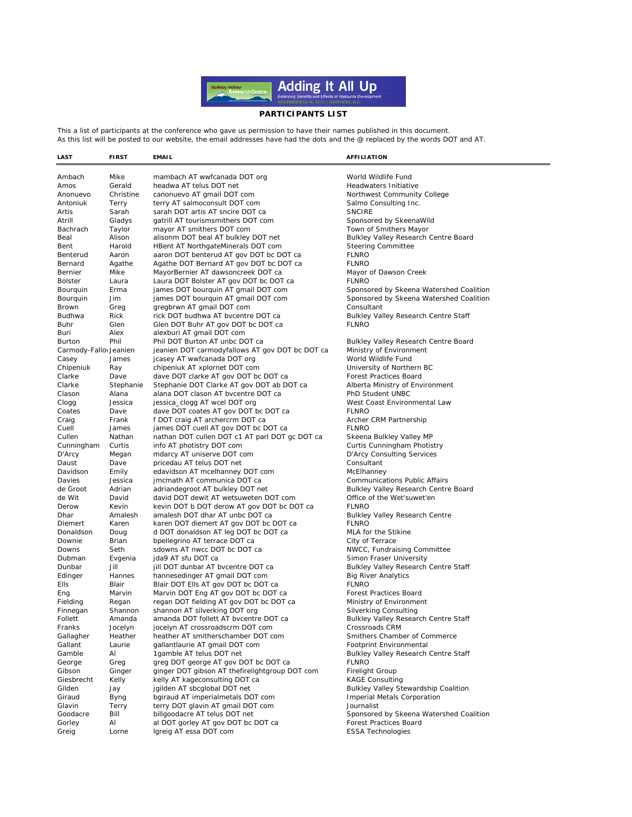

## PARTICIPANTS LIST

This a list of participants at the conference who gave us permission to have their names published in this document.<br>As this list will be posted to our website, the email addresses have had the dots and the @ replaced by

| LAST                   | <b>FIRST</b>      | <b>EMAIL</b>                                                             | <b>AFFILIATION</b>                                     |
|------------------------|-------------------|--------------------------------------------------------------------------|--------------------------------------------------------|
|                        |                   |                                                                          |                                                        |
| Ambach                 | Mike              | mambach AT wwfcanada DOT org                                             | World Wildlife Fund                                    |
| Amos                   | Gerald            | headwa AT telus DOT net                                                  | Headwaters Initiative                                  |
| Anonuevo               | Christine         | canonuevo AT gmail DOT com                                               | Northwest Community College                            |
| Antoniuk               | Terry             | terry AT salmoconsult DOT com                                            | Salmo Consulting Inc.                                  |
| Artis                  | Sarah             | sarah DOT artis AT sncire DOT ca                                         | <b>SNCIRE</b>                                          |
| Atrill                 | Gladys            | gatrill AT tourismsmithers DOT com                                       | Sponsored by SkeenaWild                                |
| Bachrach               | Taylor            | mayor AT smithers DOT com                                                | Town of Smithers Mayor                                 |
| Beal                   | Alison            | alisonm DOT beal AT bulkley DOT net                                      | Bulkley Valley Research Centre Board                   |
| Bent                   | Harold            | HBent AT NorthgateMinerals DOT com                                       | <b>Steering Committee</b>                              |
| Benterud               | Aaron             | aaron DOT benterud AT gov DOT bc DOT ca                                  | <b>FLNRO</b>                                           |
| Bernard                | Agathe            | Agathe DOT Bernard AT gov DOT bc DOT ca                                  | <b>FLNRO</b>                                           |
| Bernier                | Mike              | MayorBernier AT dawsoncreek DOT ca                                       | Mayor of Dawson Creek                                  |
| <b>Bolster</b>         | Laura             | Laura DOT Bolster AT gov DOT bc DOT ca                                   | <b>FLNRO</b>                                           |
| Bourquin               | Erma              | james DOT bourquin AT gmail DOT com                                      | Sponsored by Skeena Watershed Coalition                |
| Bourguin               | Jim               | james DOT bourquin AT gmail DOT com                                      | Sponsored by Skeena Watershed Coalition                |
| Brown                  | Greg              | gregbrwn AT gmail DOT com                                                | Consultant                                             |
| Budhwa                 | Rick              | rick DOT budhwa AT bvcentre DOT ca                                       | Bulkley Valley Research Centre Staff                   |
| Buhr                   | Glen              | Glen DOT Buhr AT gov DOT bc DOT ca                                       | <b>FLNRO</b>                                           |
| Buri                   | Alex              | alexburi AT gmail DOT com                                                |                                                        |
| Burton                 | Phil              | Phil DOT Burton AT unbc DOT ca                                           | <b>Bulkley Valley Research Centre Board</b>            |
| Carmody-Fallow Jeanien |                   | jeanien DOT carmodyfallows AT gov DOT bc DOT ca                          | Ministry of Environment                                |
| Casey                  | James             | jcasey AT wwfcanada DOT org                                              | World Wildlife Fund                                    |
| Chipeniuk              | Ray               | chipeniuk AT xplornet DOT com                                            | University of Northern BC                              |
| Clarke                 | Dave              | dave DOT clarke AT gov DOT bc DOT ca                                     | Forest Practices Board                                 |
| Clarke                 | Stephanie         | Stephanie DOT Clarke AT gov DOT ab DOT ca                                | Alberta Ministry of Environment                        |
| Clason                 | Alana             | alana DOT clason AT bvcentre DOT ca                                      | PhD Student UNBC                                       |
| Clogg                  | Jessica           | jessica_clogg AT wcel DOT org                                            | West Coast Environmental Law                           |
| Coates                 | Dave              | dave DOT coates AT gov DOT bc DOT ca                                     | <b>FLNRO</b>                                           |
| Craig                  | Frank             | f DOT craig AT archercrm DOT ca                                          | Archer CRM Partnership                                 |
| Cuell                  | James             | james DOT cuell AT gov DOT bc DOT ca                                     | <b>FLNRO</b>                                           |
| Cullen                 | Nathan            | nathan DOT cullen DOT c1 AT parl DOT gc DOT ca                           | Skeena Bulkley Valley MP                               |
| Cunningham             | Curtis            | info AT photistry DOT com                                                | Curtis Cunningham Photistry                            |
| D'Arcy                 | Megan             | mdarcy AT uniserve DOT com                                               | <b>D'Arcy Consulting Services</b>                      |
| Daust                  | Dave              | pricedau AT telus DOT net                                                | Consultant                                             |
| Davidson               | Emily             | edavidson AT mcelhanney DOT com                                          | McElhanney                                             |
| Davies                 | Jessica           | jmcmath AT communica DOT ca                                              | <b>Communications Public Affairs</b>                   |
| de Groot               | Adrian            | adriandegroot AT bulkley DOT net                                         | Bulkley Valley Research Centre Board                   |
| de Wit                 | David             | david DOT dewit AT wetsuweten DOT com                                    | Office of the Wet'suwet'en                             |
| Derow                  | Kevin             | kevin DOT b DOT derow AT gov DOT bc DOT ca                               | <b>FLNRO</b>                                           |
| Dhar                   | Amalesh           | amalesh DOT dhar AT unbc DOT ca                                          | <b>Bulkley Valley Research Centre</b>                  |
| Diemert                | Karen             | karen DOT diemert AT gov DOT bc DOT ca                                   | <b>FLNRO</b>                                           |
| Donaldson              | Doug              | d DOT donaldson AT leg DOT bc DOT ca                                     | MLA for the Stikine                                    |
| Downie                 | Brian             | bpellegrino AT terrace DOT ca                                            | City of Terrace                                        |
| Downs                  | Seth              | sdowns AT nwcc DOT bc DOT ca                                             | NWCC, Fundraising Committee                            |
| Dubman                 | Evgenia           | jda9 AT sfu DOT ca                                                       | Simon Fraser University                                |
| Dunbar                 | Jill              | jill DOT dunbar AT bycentre DOT ca                                       | Bulkley Valley Research Centre Staff                   |
| Edinger                | Hannes            | hannesedinger AT gmail DOT com<br>Blair DOT Ells AT gov DOT bc DOT ca    | <b>Big River Analytics</b><br><b>FLNRO</b>             |
| Ells                   | Blair             |                                                                          |                                                        |
| Eng                    | Marvin            | Marvin DOT Eng AT gov DOT bc DOT ca                                      | Forest Practices Board                                 |
| Fielding               | Regan             | regan DOT fielding AT gov DOT bc DOT ca<br>shannon AT silverking DOT org | Ministry of Environment                                |
| Finnegan<br>Follett    | Shannon<br>Amanda |                                                                          | Silverking Consulting                                  |
|                        |                   | amanda DOT follett AT bycentre DOT ca                                    | Bulkley Valley Research Centre Staff<br>Crossroads CRM |
| Franks                 | Jocelyn           | jocelyn AT crossroadscrm DOT com<br>heather AT smitherschamber DOT com   |                                                        |
| Gallagher              | Heather           |                                                                          | Smithers Chamber of Commerce                           |
| Gallant                | Laurie            | gallantlaurie AT gmail DOT com<br>1qamble AT telus DOT net               | Footprint Environmental                                |
| Gamble                 | Al                |                                                                          | <b>Bulkley Valley Research Centre Staff</b>            |
| George                 | Greg              | greg DOT george AT gov DOT bc DOT ca                                     | <b>FLNRO</b>                                           |
| Gibson                 | Ginger            | ginger DOT gibson AT thefirelightgroup DOT com                           | Firelight Group                                        |
| Giesbrecht             | Kelly             | kelly AT kageconsulting DOT ca                                           | <b>KAGE Consulting</b>                                 |
| Gilden                 | Jay               | jgilden AT sbcglobal DOT net                                             | Bulkley Valley Stewardship Coalition                   |
| Giraud                 | <b>Byng</b>       | bgiraud AT imperialmetals DOT com                                        | <b>Imperial Metals Corporation</b>                     |
| Glavin                 | Terry             | terry DOT glavin AT gmail DOT com                                        | Journalist                                             |
| Goodacre               | Bill              | billgoodacre AT telus DOT net                                            | Sponsored by Skeena Watershed Coalition                |
| Gorley                 | Al                | al DOT gorley AT gov DOT bc DOT ca                                       | Forest Practices Board                                 |
| Greig                  | Lorne             | Igreig AT essa DOT com                                                   | <b>ESSA Technologies</b>                               |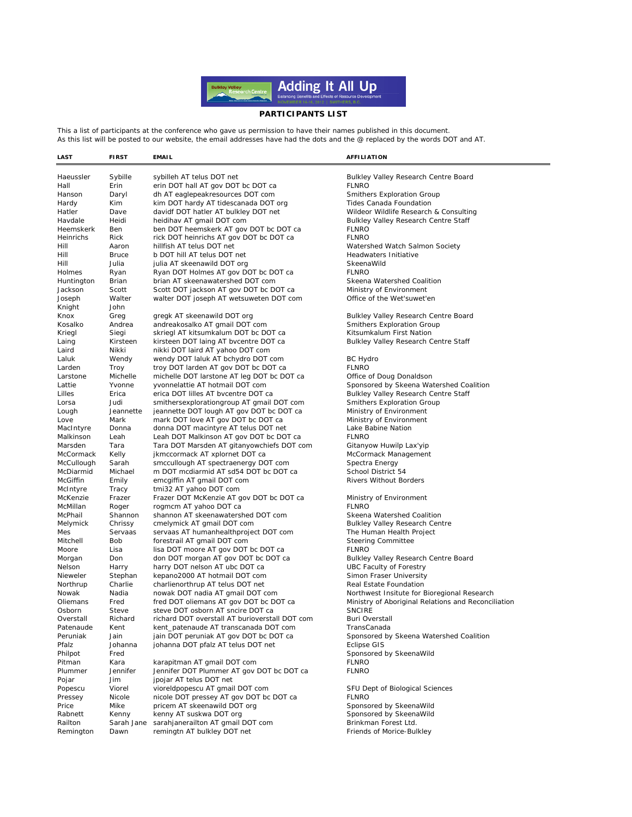

## **PARTICIPANTS LIST**

This a list of participants at the conference who gave us permission to have their names published in this document. As this list will be posted to our website, the email addresses have had the dots and the @ replaced by the words DOT and AT.

**LAST FIRST EMAIL AFFILIATION**

Haeussler Sybille sybilleh AT telus DOT net Bulkley Valley Research Centre Board<br>Hall Frin erin DOT hall AT gov DOT he DOT ca FI NRO Hall Erin erin DOT hall AT gov DOT bc DOT ca<br>Hanson Daryl dh AT eaglepeakresources DOT com Daryl dh AT eaglepeakresources DOT com Smithers Exploration Group Hardy Kim kim DOT hardy AT tidescanada DOT org Tides Canada Foundation Hatler Dave davidf DOT hatler AT bulkley DOT net Wildeor Wildlife Research & Consulting<br>Havdale Heidi heidihav AT gmail DOT com Nulley Bulkley Valley Research Centre Staff Heidi heidihav AT gmail DOT com Bulkley Valley Research Centre Staff Heemskerk Ben ben DOT heemskerk AT gov DOT bc DOT ca<br>Heinrichs Rick rick DOT heinrichs AT gov DOT bc DOT ca FLNRO rick DOT heinrichs AT gov DOT bc DOT ca Hill Aaron hillfish AT telus DOT net Watershed Watch Salmon Society Hill Bruce b DOT hill AT telus DOT net Headwaters Initiative Hill Julia julia AT skeenawild DOT org SkeenaWild Holmes Ryan Ryan DOT Holmes AT gov DOT bc DOT ca Huntington Brian brian AT skeenawatershed DOT com Skeena Watershed Coalition<br>Jackson Scott Scott DOT jackson AT gov DOT bc DOT ca Ministry of Environment Jackson Scott Scott DOT jackson AT gov DOT bc DOT ca Joseph Walter walter DOT joseph AT wetsuweten DOT com Office of the Wet'suwet'en Knight John Knox Greg gregk AT skeenawild DOT org Bulkley Valley Research Centre Board<br>
Kosalko Andrea andreakosalko AT gmail DOT com Smithers Exploration Group Andrea andreakosalko AT gmail DOT com Smithers Exploration Group Kriegl Siegi skriegl AT kitsumkalum DOT bc DOT ca Kitsumkalum First Nation Laing Kirsteen kirsteen DOT laing AT bvcentre DOT ca Bulkley Valley Research Centre Staff Laird Nikki nikki DOT laird AT yahoo DOT com Laluk Wendy wendy DOT laluk AT bchydro DOT com BC Hydro BC Hydro Com BC Hydro BC Hydro BC Hydro BC Hydro BC Hydro BC Hydro BC Hydro BC Hydro BC Hydro BC Hydro BC Hydro BC Hydro BC Hydro BC Hydro BC Hydro BC Hydro BC Hydro Troy troy DOT larden AT gov DOT bc DOT ca Larstone Michelle michelle DOT larstone AT leg DOT bc DOT ca Office of Doug Donaldson Lattie Yvonne yvonnelattie AT hotmail DOT com Sponsored by Skeena Watershed Coalition Lilles Erica erica DOT lilles AT bvcentre DOT ca Bulkley Valley Research Centre Staff Lorsa Judi smithersexplorationgroup AT gmail DOT com Smithers Exploration Group Lough Jeannette jeannette DOT lough AT gov DOT bc DOT ca Ministry of Environment Love Mark mark DOT love AT gov DOT bc DOT ca Ministry of Environment<br>MacIntyre Donna donna DOT macintyre AT telus DOT net Lake Babine Nation Machina MacIntyre AT telus DOT net Lake B.<br>Leah Leah DOT Malkinson AT gov DOT bc DOT ca FINRO Malkinson Leah Leah DOT Malkinson AT gov DOT bc DOT ca Marsden Tara Tara DOT Marsden AT gitanyowchiefs DOT com Gitanyow Huwilp Lax'yip McCormack Kelly jkmccormack AT xplornet DOT ca McCormack Management McCullough Sarah smccullough AT spectraenergy DOT com Spectra Energy<br>McDiarmid Michael m DOT mcdiarmid AT sd54 DOT bc DOT ca School District 54 McDiarmid Michael m DOT mcdiarmid AT sd54 DOT bc DOT ca<br>McGiffin Emily emcgiffin AT gmail DOT com Fmily emcaiffin AT gmail DOT com Rivers Without Borders McIntyre Tracy tmi32 AT yahoo DOT com McKenzie Frazer Frazer DOT McKenzie AT gov DOT bc DOT ca Ministry of Environment McMillan Roger rogmcm AT yahoo DOT ca<br>
McPhail Shannon shannon AT skeenawatershed DOT com Skeena Watershed Coalition shannon AT skeenawatershed DOT com Melymick Chrissy cmelymick AT gmail DOT com Suitey Bulkley Valley Research Centre<br>
Mes Servaas servaas AT humanhealthproject DOT com The Human Health Project Mes Servaas servaas AT human health project DOT com Mitchell Bob forestrail AT gmail DOT com Steering Committee Moore Lisa lisa DOT moore AT gov DOT bc DOT ca FLNRO Morgan Don don DOT morgan AT gov DOT bc DOT ca<br>
Nelson Harry harry DOT nelson AT ubc DOT ca<br>
UBC Faculty of Forestry harry DOT nelson AT ubc DOT ca Nieweler Stephan kepano2000 AT hotmail DOT com Simon Fraser University<br>Northrup Charlie charlienorthrup AT telus DOT pet Real Estate Foundation Northrup Charlie charlienorthrup AT telus DOT net Real Estate Foundation Nowak Madia nowak DOT nadia AT gmail DOT com Northwest Insitute for Bioregional Research<br>Oliemans Fred fred DOT oliemans AT gov DOT bc DOT ca Ministry of Aboriginal Relations and Reconci Fred fred DOT oliemans AT gov DOT bc DOT ca Ministry of Aboriginal Relations and Reconciliation Osborn Steve steve DOT osborn AT sncire DOT ca<br>
Overstall Richard richard DOT overstall AT burioverstall DOT com Buri Overstall richard DOT overstall AT burioverstall DOT com Patenaude Kent kent patenaude AT transcanada DOT com TransCanada Peruniak Jain jain DOT peruniak AT gov DOT bc DOT ca Sponsored by Skeena Watershed Coalition<br>Pfalz Johanna johanna DOT pfalz AT telus DOT net Eclipse GIS Pfalz Johanna johanna DOT pfalz AT telus DOT net Philpot Fred Fred Exercise of the Sponsored by SkeenaWild<br>
Pitman Kara Karapitman AT gmail DOT com Sena FLNRO Kara karapitman AT gmail DOT com Plummer Jennifer Jennifer DOT Plummer AT gov DOT bc DOT ca FLNRO Pojar Jim jpojar AT telus DOT net Popescu Viorel vioreldpopescu AT gmail DOT com SFU Dept of Biological Sciences<br>Pressey Nicole nicole DOT pressey AT gov DOT bc DOT ca FLNRO nicole DOT pressey AT gov DOT bc DOT ca FLNRO Price Mike pricem AT skeenawild DOT org<br>
Rabnett Kenny kenny AT suskwa DOT org Sponsored by SkeenaWild .<br>Rabnett Kenny AT suskwa DOT org Sponsored by SkeenaWild Railton Sarah Jane sarahjanerailton AT gmail DOT com Brinkman Forest Ltd. Remington Dawn remingtn AT bulkley DOT net Friends of Morice-Bulkley